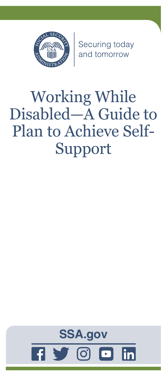

Securing today<br>and tomorrow

# Working While Disabled—A Guide to Plan to Achieve Self-Support

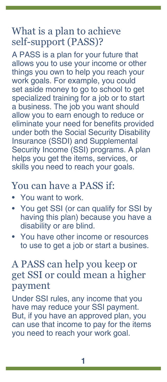# What is a plan to achieve self-support (PASS)?

A PASS is a plan for your future that allows you to use your income or other things you own to help you reach your work goals. For example, you could set aside money to go to school to get specialized training for a job or to start a business. The job you want should allow you to earn enough to reduce or eliminate your need for benefits provided under both the Social Security Disability Insurance (SSDI) and Supplemental Security Income (SSI) programs. A plan helps you get the items, services, or skills you need to reach your goals.

#### You can have a PASS if:

- You want to work.
- You get SSI (or can qualify for SSI by having this plan) because you have a disability or are blind.
- You have other income or resources to use to get a job or start a busines.

### A PASS can help you keep or get SSI or could mean a higher payment

Under SSI rules, any income that you have may reduce your SSI payment. But, if you have an approved plan, you can use that income to pay for the items you need to reach your work goal.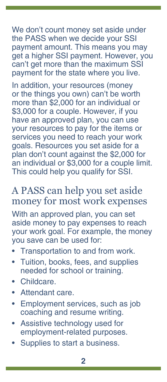We don't count money set aside under the PASS when we decide your SSI payment amount. This means you may get a higher SSI payment. However, you can't get more than the maximum SSI payment for the state where you live.

In addition, your resources (money or the things you own) can't be worth more than \$2,000 for an individual or \$3,000 for a couple. However, if you have an approved plan, you can use your resources to pay for the items or services you need to reach your work goals. Resources you set aside for a plan don't count against the \$2,000 for an individual or \$3,000 for a couple limit. This could help you qualify for SSI.

#### A PASS can help you set aside money for most work expenses

With an approved plan, you can set aside money to pay expenses to reach your work goal. For example, the money you save can be used for:

- Transportation to and from work.
- Tuition, books, fees, and supplies needed for school or training.
- Childcare.
- Attendant care.
- Employment services, such as job coaching and resume writing.
- Assistive technology used for employment-related purposes.
- Supplies to start a business.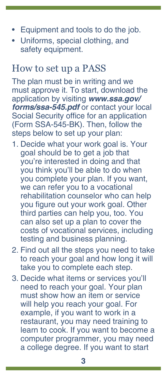- Equipment and tools to do the job.
- Uniforms, special clothing, and safety equipment.

#### How to set up a PASS

The plan must be in writing and we must approve it. To start, download the application by visiting *[www.ssa.gov/](https://www.ssa.gov/forms/ssa-545.pdf) [forms/ssa-545.pdf](https://www.ssa.gov/forms/ssa-545.pdf)* or contact your local Social Security office for an application (Form SSA-545-BK). Then, follow the steps below to set up your plan:

- 1. Decide what your work goal is. Your goal should be to get a job that you're interested in doing and that you think you'll be able to do when you complete your plan. If you want, we can refer you to a vocational rehabilitation counselor who can help you figure out your work goal. Other third parties can help you, too. You can also set up a plan to cover the costs of vocational services, including testing and business planning.
- 2. Find out all the steps you need to take to reach your goal and how long it will take you to complete each step.
- 3. Decide what items or services you'll need to reach your goal. Your plan must show how an item or service will help you reach your goal. For example, if you want to work in a restaurant, you may need training to learn to cook. If you want to become a computer programmer, you may need a college degree. If you want to start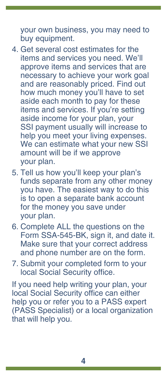your own business, you may need to buy equipment.

- 4. Get several cost estimates for the items and services you need. We'll approve items and services that are necessary to achieve your work goal and are reasonably priced. Find out how much money you'll have to set aside each month to pay for these items and services. If you're setting aside income for your plan, your SSI payment usually will increase to help you meet your living expenses. We can estimate what your new SSI amount will be if we approve your plan.
- 5. Tell us how you'll keep your plan's funds separate from any other money you have. The easiest way to do this is to open a separate bank account for the money you save under your plan.
- 6. Complete ALL the questions on the Form SSA-545-BK, sign it, and date it. Make sure that your correct address and phone number are on the form.
- 7. Submit your completed form to your local Social Security office.

If you need help writing your plan, your local Social Security office can either help you or refer you to a PASS expert (PASS Specialist) or a local organization that will help you.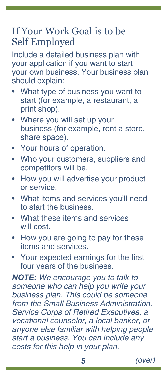# If Your Work Goal is to be Self Employed

Include a detailed business plan with your application if you want to start your own business. Your business plan should explain:

- What type of business you want to start (for example, a restaurant, a print shop).
- Where you will set up your business (for example, rent a store, share space).
- Your hours of operation.
- Who your customers, suppliers and competitors will be.
- How you will advertise your product or service.
- What items and services you'll need to start the business.
- What these items and services will cost.
- How you are going to pay for these items and services.
- Your expected earnings for the first four years of the business.

*NOTE: We encourage you to talk to someone who can help you write your business plan. This could be someone from the Small Business Administration, Service Corps of Retired Executives, a vocational counselor, a local banker, or anyone else familiar with helping people start a business. You can include any costs for this help in your plan.*

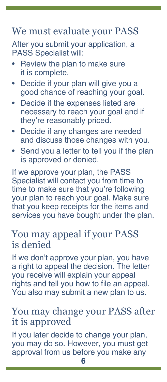### We must evaluate your PASS

After you submit your application, a PASS Specialist will:

- Review the plan to make sure it is complete.
- Decide if your plan will give you a good chance of reaching your goal.
- Decide if the expenses listed are necessary to reach your goal and if they're reasonably priced.
- Decide if any changes are needed and discuss those changes with you.
- Send you a letter to tell you if the plan is approved or denied.

If we approve your plan, the PASS Specialist will contact you from time to time to make sure that you're following your plan to reach your goal. Make sure that you keep receipts for the items and services you have bought under the plan.

#### You may appeal if your PASS is denied

If we don't approve your plan, you have a right to appeal the decision. The letter you receive will explain your appeal rights and tell you how to file an appeal. You also may submit a new plan to us.

# You may change your PASS after it is approved

If you later decide to change your plan, you may do so. However, you must get approval from us before you make any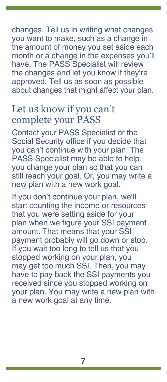changes. Tell us in writing what changes you want to make, such as a change in the amount of money you set aside each month or a change in the expenses you'll have. The PASS Specialist will review the changes and let you know if they're approved. Tell us as soon as possible about changes that might affect your plan.

# Let us know if you can't complete your PASS

Contact your PASS Specialist or the Social Security office if you decide that you can't continue with your plan. The PASS Specialist may be able to help you change your plan so that you can still reach your goal. Or, you may write a new plan with a new work goal.

If you don't continue your plan, we'll start counting the income or resources that you were setting aside for your plan when we figure your SSI payment amount. That means that your SSI payment probably will go down or stop. If you wait too long to tell us that you stopped working on your plan, you may get too much SSI. Then, you may have to pay back the SSI payments you received since you stopped working on your plan. You may write a new plan with a new work goal at any time.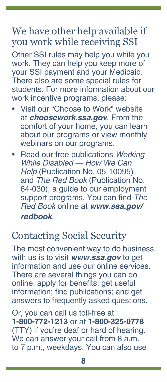### We have other help available if you work while receiving SSI

Other SSI rules may help you while you work. They can help you keep more of your SSI payment and your Medicaid. There also are some special rules for students. For more information about our work incentive programs, please:

- Visit our "Choose to Work" website at *[choosework.ssa.gov](https://choosework.ssa.gov)*. From the comfort of your home, you can learn about our programs or view monthly webinars on our programs.
- Read our free publications *[Working](https://www.ssa.gov/pubs/EN-05-10095.pdf)  [While Disabled — How We Can](https://www.ssa.gov/pubs/EN-05-10095.pdf)  Help* [\(Publication No. 05-10095\)](https://www.ssa.gov/pubs/EN-05-10095.pdf) and *The Red Book* [\(Publication No.](https://www.ssa.gov/redbook/)  [64-030\)](https://www.ssa.gov/redbook/), a guide to our employment support programs. You can find *The Red Book* online at *[www.ssa.gov/](https://www.ssa.gov/redbook) [redbook](https://www.ssa.gov/redbook)*.

### Contacting Social Security

The most convenient way to do business with us is to visit *[www.ssa.gov](https://www.ssa.gov)* to get information and use our online services. There are several things you can do online: apply for benefits; get useful information; find [publications](https://www.ssa.gov/pubs/); and get answers to [frequently asked questions.](https://faq.ssa.gov/)

Or, you can call us toll-free at **1-800-772-1213** or at **1-800-325-0778** (TTY) if you're deaf or hard of hearing. We can answer your call from 8 a.m. to 7 p.m., weekdays. You can also use